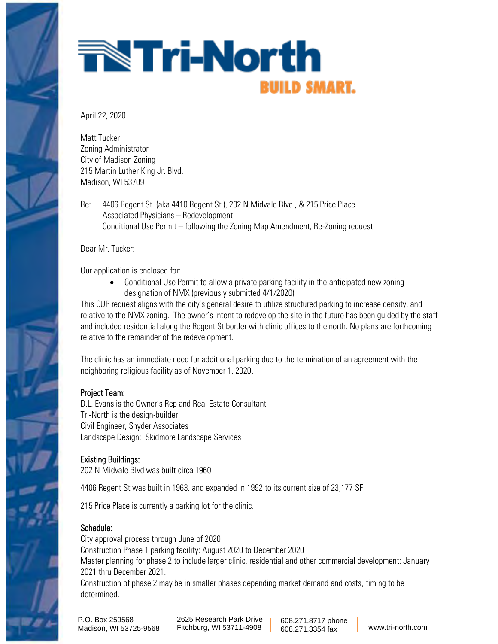

# **The Tri-North BUILD SMART.**

April 22, 2020

Matt Tucker Zoning Administrator City of Madison Zoning 215 Martin Luther King Jr. Blvd. Madison, WI 53709

Re: 4406 Regent St. (aka 4410 Regent St.), 202 N Midvale Blvd., & 215 Price Place Associated Physicians – Redevelopment Conditional Use Permit – following the Zoning Map Amendment, Re-Zoning request

Dear Mr. Tucker:

Our application is enclosed for:

• Conditional Use Permit to allow a private parking facility in the anticipated new zoning designation of NMX (previously submitted 4/1/2020)

This CUP request aligns with the city's general desire to utilize structured parking to increase density, and relative to the NMX zoning. The owner's intent to redevelop the site in the future has been guided by the staff and included residential along the Regent St border with clinic offices to the north. No plans are forthcoming relative to the remainder of the redevelopment.

The clinic has an immediate need for additional parking due to the termination of an agreement with the neighboring religious facility as of November 1, 2020.

### Project Team:

D.L. Evans is the Owner's Rep and Real Estate Consultant Tri-North is the design-builder. Civil Engineer, Snyder Associates Landscape Design: Skidmore Landscape Services

### Existing Buildings:

202 N Midvale Blvd was built circa 1960

4406 Regent St was built in 1963. and expanded in 1992 to its current size of 23,177 SF

215 Price Place is currently a parking lot for the clinic.

### Schedule:

City approval process through June of 2020 Construction Phase 1 parking facility: August 2020 to December 2020 Master planning for phase 2 to include larger clinic, residential and other commercial development: January 2021 thru December 2021. Construction of phase 2 may be in smaller phases depending market demand and costs, timing to be determined.

P.O. Box 259568 Madison, WI 53725-9568 2625 Research Park Drive Fitchburg, WI 53711-4908 608.271.8717 phone 608.271.3354 fax www.tri-north.com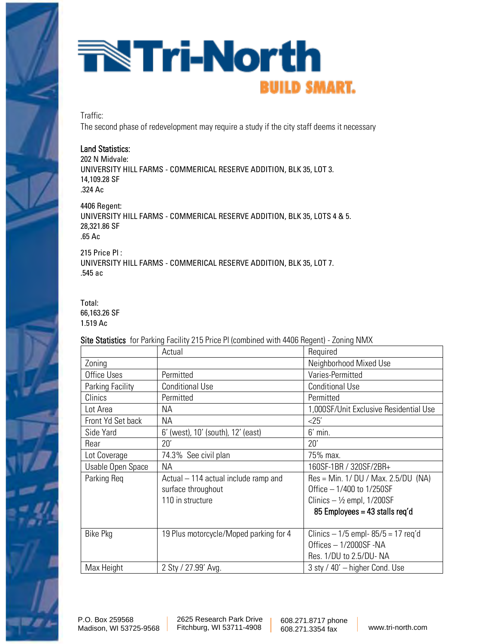# **Tri-North BUILD SMART.**

Traffic:

The second phase of redevelopment may require a study if the city staff deems it necessary

#### Land Statistics:

202 N Midvale: UNIVERSITY HILL FARMS - COMMERICAL RESERVE ADDITION, BLK 35, LOT 3. 14,109.28 SF .324 Ac

4406 Regent: UNIVERSITY HILL FARMS - COMMERICAL RESERVE ADDITION, BLK 35, LOTS 4 & 5. 28,321.86 SF .65 Ac

215 Price Pl : UNIVERSITY HILL FARMS - COMMERICAL RESERVE ADDITION, BLK 35, LOT 7. .545 ac

#### Total:

66,163.26 SF 1.519 Ac

Site Statistics for Parking Facility 215 Price Pl (combined with 4406 Regent) - Zoning NMX

|                   | <b>ONO ORGIONICO</b> TOIT GIRING LOOMS ZTO FINO IT NOMINATOG WISH THOO HOGONG ZONING I WWW. |                                        |
|-------------------|---------------------------------------------------------------------------------------------|----------------------------------------|
|                   | Actual                                                                                      | Required                               |
| Zoning            |                                                                                             | Neighborhood Mixed Use                 |
| Office Uses       | Permitted                                                                                   | Varies-Permitted                       |
| Parking Facility  | <b>Conditional Use</b>                                                                      | <b>Conditional Use</b>                 |
| Clinics           | Permitted                                                                                   | Permitted                              |
| Lot Area          | NА                                                                                          | 1,000SF/Unit Exclusive Residential Use |
| Front Yd Set back | NА                                                                                          | <25'                                   |
| Side Yard         | 6' (west), 10' (south), 12' (east)                                                          | $6'$ min.                              |
| Rear              | 20'                                                                                         | 20'                                    |
| Lot Coverage      | 74.3% See civil plan                                                                        | 75% max.                               |
| Usable Open Space | <b>NA</b>                                                                                   | 160SF-1BR / 320SF/2BR+                 |
| Parking Req       | Actual – 114 actual include ramp and                                                        | $Res = Min. 1/DU / Max. 2.5/DU (NA)$   |
|                   | surface throughout                                                                          | Office - 1/400 to 1/250SF              |
|                   | 110 in structure                                                                            | Clinics $-$ 1/200SF                    |
|                   |                                                                                             | 85 Employees = $43$ stalls reg'd       |
|                   |                                                                                             |                                        |
| <b>Bike Pkg</b>   | 19 Plus motorcycle/Moped parking for 4                                                      | Clinics $-1/5$ empl-85/5 = 17 req'd    |
|                   |                                                                                             | Offices - 1/2000SF -NA                 |
|                   |                                                                                             | Res. 1/DU to 2.5/DU-NA                 |
| Max Height        | 2 Sty / 27.99' Avg.                                                                         | 3 sty / 40' - higher Cond. Use         |

2625 Research Park Drive Fitchburg, WI 53711-4908